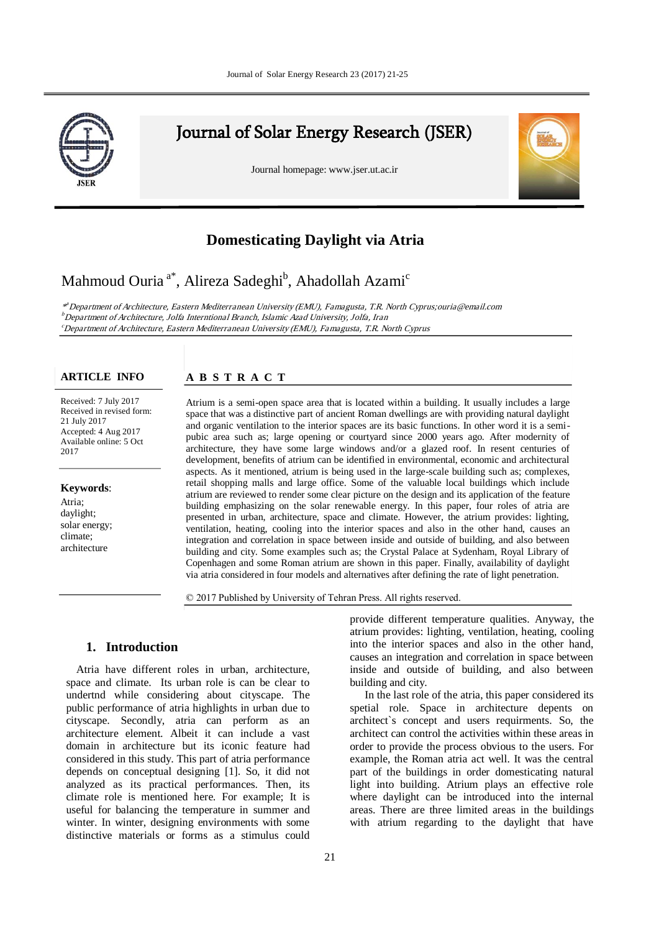

# Journal of Solar Energy Research (JSER)

Journal homepage: www.jser.ut.ac.ir



## **Comesticating Daylight via Atria**

## Mahmoud Ouria  $^{\mathrm{a}^{\ast}},$  Alireza Sadeghi $^{\mathrm{b}}$ , Ahadollah Azami $^{\mathrm{c}}$

a \* <sup>a</sup> Department of Architecture, Eastern Mediterranean University (EMU), Famagusta, T.R. North Cyprus;ouria@email.com First affiliation, Address, City and Postcode, Country b <sup>b</sup> Department of Architecture, Jolfa Interntional Branch, Islamic Azad University, Jolfa, Iran Department of Architecture, sona internuonal branch, islaniic Azau University, sona, iran<br>"Department of Architecture, Eastern Mediterranean University (EMU), Famagusta, T.R. North Cyprus

#### **ARTICLE INFO**

Received: 7 July 2017 Received in revised form: 21 July 2017 Accepted: 4 Aug 2017 Available online: 5 Oct 2017

#### **Keywords**:

Atria; daylight; solar energy; climate; architecture

### **A B S T R A C T**

Atrium is a semi-open space area that is located within a building. It usually includes a large space that was a distinctive part of ancient Roman dwellings are with providing natural daylight and organic ventilation to the interior spaces are its basic functions. In other word it is a semipubic area such as; large opening or courtyard since 2000 years ago. After modernity of architecture, they have some large windows and/or a glazed roof. In resent centuries of development, benefits of atrium can be identified in environmental, economic and architectural aspects. As it mentioned, atrium is being used in the large-scale building such as; complexes, retail shopping malls and large office. Some of the valuable local buildings which include atrium are reviewed to render some clear picture on the design and its application of the feature building emphasizing on the solar renewable energy. In this paper, four roles of atria are presented in urban, architecture, space and climate. However, the atrium provides: lighting, ventilation, heating, cooling into the interior spaces and also in the other hand, causes an integration and correlation in space between inside and outside of building, and also between building and city. Some examples such as; the Crystal Palace at Sydenham, Royal Library of Copenhagen and some Roman atrium are shown in this paper. Finally, availability of daylight via atria considered in four models and alternatives after defining the rate of light penetration.

© 2017 Published by University of Tehran Press. All rights reserved.

## **1. Introduction**

Atria have different roles in urban, architecture, space and climate. Its urban role is can be clear to undertnd while considering about cityscape. The public performance of atria highlights in urban due to cityscape. Secondly, atria can perform as an architecture element. Albeit it can include a vast domain in architecture but its iconic feature had considered in this study. This part of atria performance depends on conceptual designing [1]. So, it did not analyzed as its practical performances. Then, its climate role is mentioned here. For example; It is useful for balancing the temperature in summer and winter. In winter, designing environments with some distinctive materials or forms as a stimulus could

building and city.

provide different temperature qualities. Anyway, the atrium provides: lighting, ventilation, heating, cooling into the interior spaces and also in the other hand, causes an integration and correlation in space between inside and outside of building, and also between

In the last role of the atria, this paper considered its spetial role. Space in architecture depents on architect`s concept and users requirments. So, the architect can control the activities within these areas in order to provide the process obvious to the users. For

areas. There are three limited areas in the buildings with atrium regarding to the daylight that have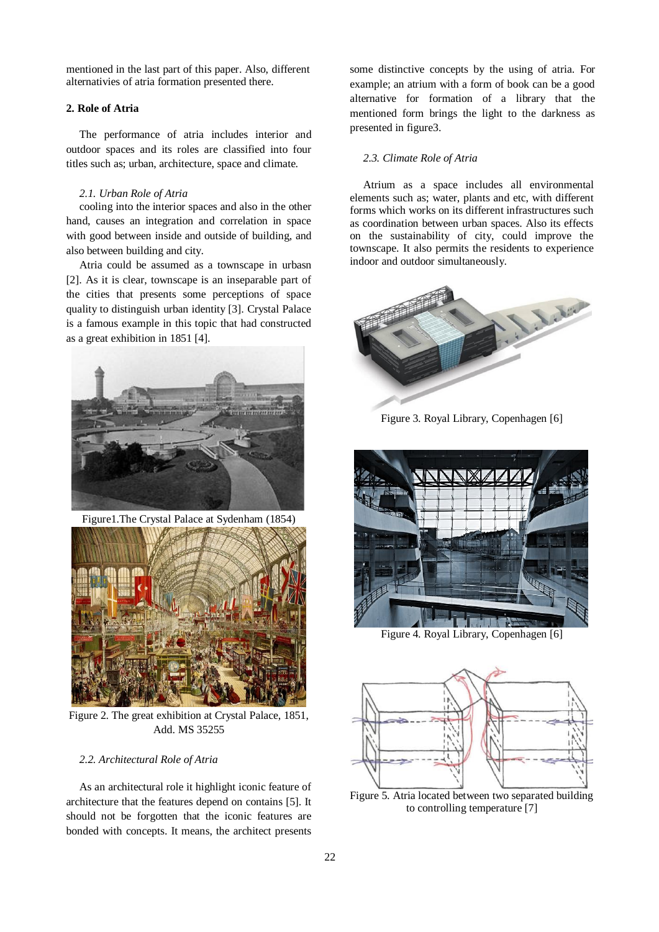mentioned in the last part of this paper. Also, different alternativies of atria formation presented there.

#### **2. Role of Atria**

The performance of atria includes interior and outdoor spaces and its roles are classified into four titles such as; urban, architecture, space and climate.

#### *2.1. Urban Role of Atria*

cooling into the interior spaces and also in the other hand, causes an integration and correlation in space with good between inside and outside of building, and also between building and city.

Atria could be assumed as a townscape in urbasn [2]. As it is clear, townscape is an inseparable part of the cities that presents some perceptions of space quality to distinguish urban identity [3]. Crystal Palace is a famous example in this topic that had constructed as a great exhibition in 1851 [4].



Figure1.The Crystal Palace at Sydenham (1854)



Figure 2. The great exhibition at Crystal Palace, 1851, Add. MS 35255

### *2.2. Architectural Role of Atria*

As an architectural role it highlight iconic feature of architecture that the features depend on contains [5]. It should not be forgotten that the iconic features are bonded with concepts. It means, the architect presents some distinctive concepts by the using of atria. For example; an atrium with a form of book can be a good alternative for formation of a library that the mentioned form brings the light to the darkness as presented in figure3.

#### *2.3. Climate Role of Atria*

Atrium as a space includes all environmental elements such as; water, plants and etc, with different forms which works on its different infrastructures such as coordination between urban spaces. Also its effects on the sustainability of city, could improve the townscape. It also permits the residents to experience indoor and outdoor simultaneously.



Figure 3. Royal Library, Copenhagen [6]



Figure 4. Royal Library, Copenhagen [6]



Figure 5. Atria located between two separated building to controlling temperature [7]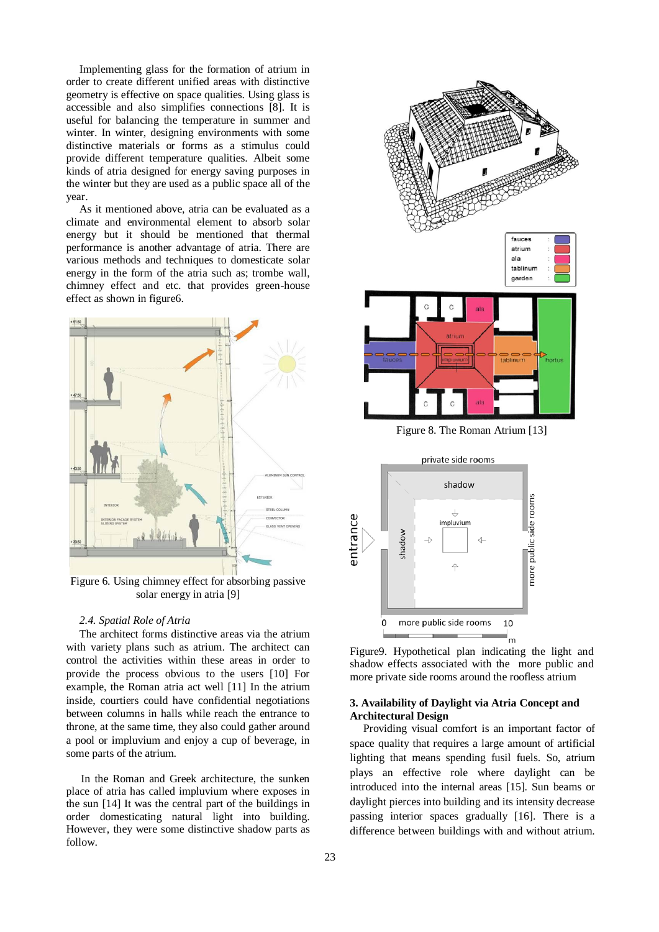Implementing glass for the formation of atrium in order to create different unified areas with distinctive geometry is effective on space qualities. Using glass is accessible and also simplifies connections [8]. It is useful for balancing the temperature in summer and winter. In winter, designing environments with some distinctive materials or forms as a stimulus could provide different temperature qualities. Albeit some kinds of atria designed for energy saving purposes in the winter but they are used as a public space all of the year.

As it mentioned above, atria can be evaluated as a climate and environmental element to absorb solar energy but it should be mentioned that thermal performance is another advantage of atria. There are various methods and techniques to domesticate solar energy in the form of the atria such as; trombe wall, chimney effect and etc. that provides green-house effect as shown in figure6.



Figure 6. Using chimney effect for absorbing passive solar energy in atria [9]

#### *2.4. Spatial Role of Atria*

The architect forms distinctive areas via the atrium with variety plans such as atrium. The architect can control the activities within these areas in order to provide the process obvious to the users [10] For example, the Roman atria act well [11] In the atrium inside, courtiers could have confidential negotiations between columns in halls while reach the entrance to throne, at the same time, they also could gather around a pool or impluvium and enjoy a cup of beverage, in some parts of the atrium.

In the Roman and Greek architecture, the sunken place of atria has called impluvium where exposes in the sun [14] It was the central part of the buildings in order domesticating natural light into building. However, they were some distinctive shadow parts as follow.





Figure9. Hypothetical plan indicating the light and shadow effects associated with the more public and more private side rooms around the roofless atrium

## **3. Availability of Daylight via Atria Concept and Architectural Design**

Providing visual comfort is an important factor of space quality that requires a large amount of artificial lighting that means spending fusil fuels. So, atrium plays an effective role where daylight can be introduced into the internal areas [15]. Sun beams or daylight pierces into building and its intensity decrease passing interior spaces gradually [16]. There is a difference between buildings with and without atrium.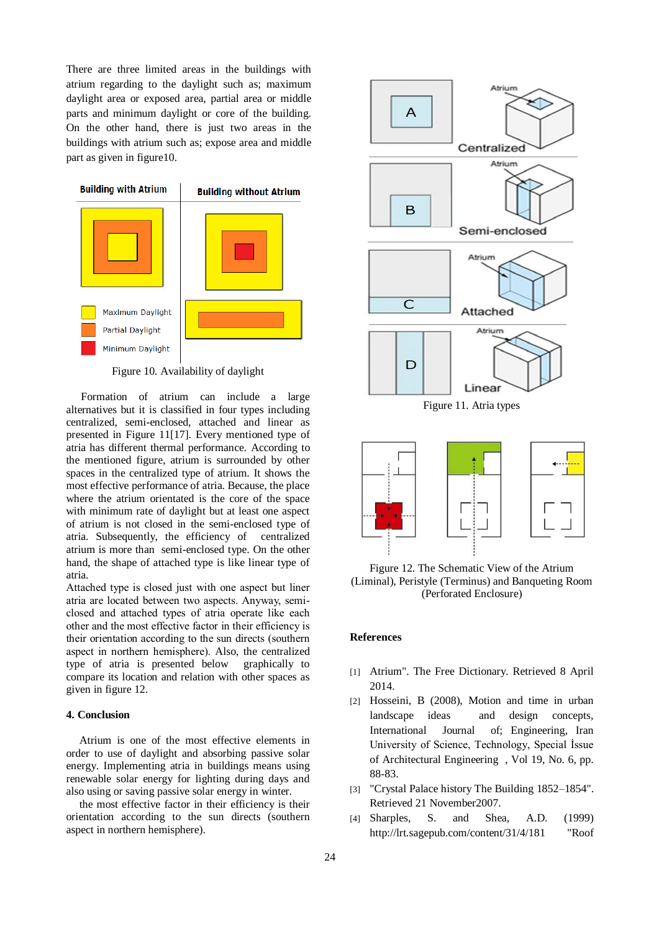There are three limited areas in the buildings with atrium regarding to the daylight such as; maximum daylight area or exposed area, partial area or middle parts and minimum daylight or core of the building. On the other hand, there is just two areas in the buildings with atrium such as; expose area and middle part as given in figure10.



Figure 10. Availability of daylight

Formation of atrium can include a large alternatives but it is classified in four types including centralized, semi-enclosed, attached and linear as presented in Figure 11[17]. Every mentioned type of atria has different thermal performance. According to the mentioned figure, atrium is surrounded by other spaces in the centralized type of atrium. It shows the most effective performance of atria. Because, the place where the atrium orientated is the core of the space with minimum rate of daylight but at least one aspect of atrium is not closed in the semi-enclosed type of atria. Subsequently, the efficiency of centralized atrium is more than semi-enclosed type. On the other hand, the shape of attached type is like linear type of atria.

Attached type is closed just with one aspect but liner atria are located between two aspects. Anyway, semiclosed and attached types of atria operate like each other and the most effective factor in their efficiency is their orientation according to the sun directs (southern aspect in northern hemisphere). Also, the centralized type of atria is presented below graphically to compare its location and relation with other spaces as given in figure 12.

## **4. Conclusion**

Atrium is one of the most effective elements in order to use of daylight and absorbing passive solar energy. Implementing atria in buildings means using renewable solar energy for lighting during days and also using or saving passive solar energy in winter.

the most effective factor in their efficiency is their orientation according to the sun directs (southern aspect in northern hemisphere).



Figure 12. The Schematic View of the Atrium (Liminal), Peristyle (Terminus) and Banqueting Room (Perforated Enclosure)

## **References**

- [1] Atrium". The Free Dictionary. Retrieved 8 April 2014.
- [2] Hosseini, B (2008), Motion and time in urban landscape ideas and design concepts, International Journal of; Engineering, Iran University of Science, Technology, Special İssue of Architectural Engineering , Vol 19, No. 6, pp. 88-83.
- [3] "Crystal Palace history The Building 1852–1854". Retrieved 21 November2007.
- [4] Sharples, S. and Shea, A.D. (1999) http://lrt.sagepub.com/content/31/4/181 "Roof